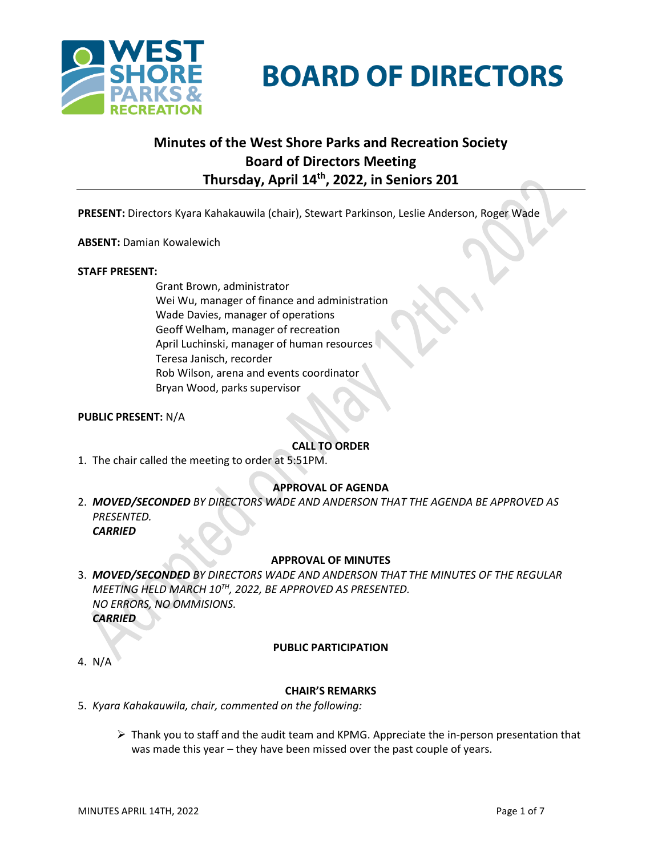

**BOARD OF DIRECTORS** 

# **Minutes of the West Shore Parks and Recreation Society Board of Directors Meeting Thursday, April 14th , 2022, in Seniors 201**

**PRESENT:** Directors Kyara Kahakauwila (chair), Stewart Parkinson, Leslie Anderson, Roger Wade

**ABSENT:** Damian Kowalewich

#### **STAFF PRESENT:**

Grant Brown, administrator Wei Wu, manager of finance and administration Wade Davies, manager of operations Geoff Welham, manager of recreation April Luchinski, manager of human resources Teresa Janisch, recorder Rob Wilson, arena and events coordinator Bryan Wood, parks supervisor

## **PUBLIC PRESENT:** N/A

## **CALL TO ORDER**

1. The chair called the meeting to order at 5:51PM.

## **APPROVAL OF AGENDA**

2. *MOVED/SECONDED BY DIRECTORS WADE AND ANDERSON THAT THE AGENDA BE APPROVED AS PRESENTED. CARRIED*

#### **APPROVAL OF MINUTES**

3. *MOVED/SECONDED BY DIRECTORS WADE AND ANDERSON THAT THE MINUTES OF THE REGULAR MEETING HELD MARCH 10 TH, 2022, BE APPROVED AS PRESENTED. NO ERRORS, NO OMMISIONS. CARRIED*

#### **PUBLIC PARTICIPATION**

4. N/A

#### **CHAIR'S REMARKS**

- 5. *Kyara Kahakauwila, chair, commented on the following:*
	- ➢ Thank you to staff and the audit team and KPMG. Appreciate the in-person presentation that was made this year – they have been missed over the past couple of years.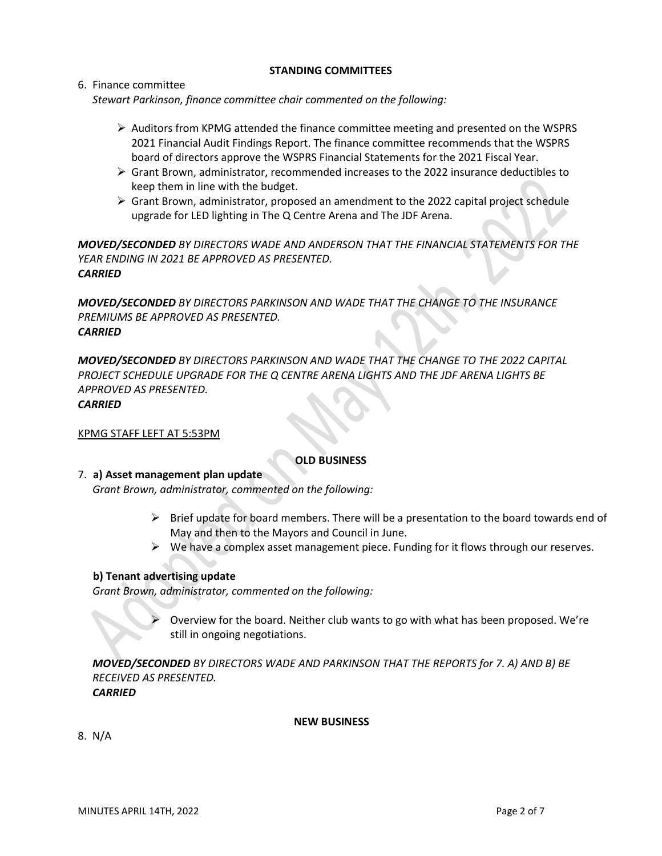## **STANDING COMMITTEES**

6. Finance committee *Stewart Parkinson, finance committee chair commented on the following:*

- $\triangleright$  Auditors from KPMG attended the finance committee meeting and presented on the WSPRS 2021 Financial Audit Findings Report. The finance committee recommends that the WSPRS board of directors approve the WSPRS Financial Statements for the 2021 Fiscal Year.
- $\triangleright$  Grant Brown, administrator, recommended increases to the 2022 insurance deductibles to keep them in line with the budget.
- $\triangleright$  Grant Brown, administrator, proposed an amendment to the 2022 capital project schedule upgrade for LED lighting in The Q Centre Arena and The JDF Arena.

*MOVED/SECONDED BY DIRECTORS WADE AND ANDERSON THAT THE FINANCIAL STATEMENTS FOR THE YEAR ENDING IN 2021 BE APPROVED AS PRESENTED. CARRIED* 

*MOVED/SECONDED BY DIRECTORS PARKINSON AND WADE THAT THE CHANGE TO THE INSURANCE PREMIUMS BE APPROVED AS PRESENTED. CARRIED* 

*MOVED/SECONDED BY DIRECTORS PARKINSON AND WADE THAT THE CHANGE TO THE 2022 CAPITAL PROJECT SCHEDULE UPGRADE FOR THE Q CENTRE ARENA LIGHTS AND THE JDF ARENA LIGHTS BE APPROVED AS PRESENTED. CARRIED* 

#### KPMG STAFF LEFT AT 5:53PM

## **OLD BUSINESS**

#### 7. **a) Asset management plan update**

*Grant Brown, administrator, commented on the following:*

- $\triangleright$  Brief update for board members. There will be a presentation to the board towards end of May and then to the Mayors and Council in June.
- $\triangleright$  We have a complex asset management piece. Funding for it flows through our reserves.

## **b) Tenant advertising update**

*Grant Brown, administrator, commented on the following:*

➢ Overview for the board. Neither club wants to go with what has been proposed. We're still in ongoing negotiations.

*MOVED/SECONDED BY DIRECTORS WADE AND PARKINSON THAT THE REPORTS for 7. A) AND B) BE RECEIVED AS PRESENTED. CARRIED*

 **NEW BUSINESS**

8.N/A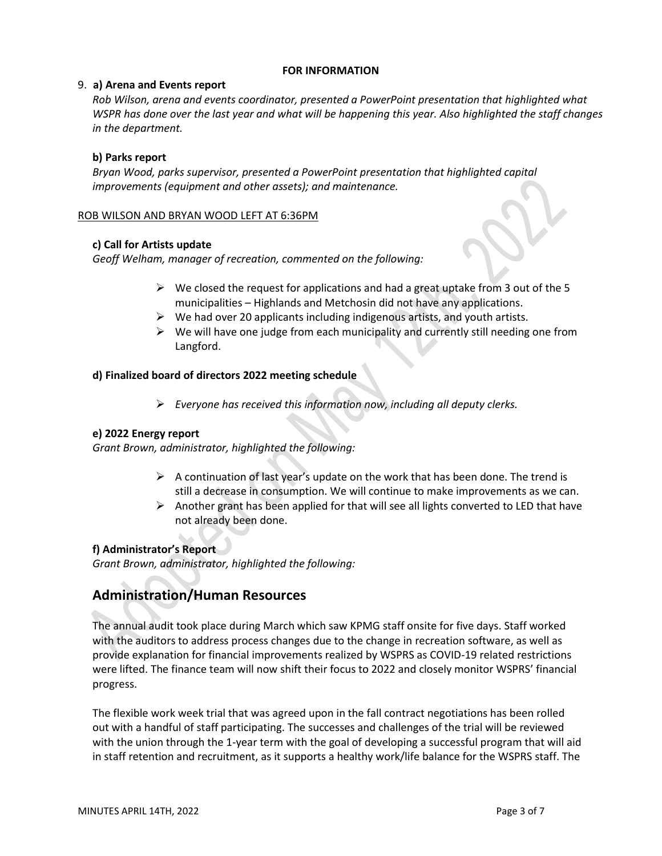#### **FOR INFORMATION**

#### 9. **a) Arena and Events report**

*Rob Wilson, arena and events coordinator, presented a PowerPoint presentation that highlighted what WSPR has done over the last year and what will be happening this year. Also highlighted the staff changes in the department.*

## **b) Parks report**

*Bryan Wood, parks supervisor, presented a PowerPoint presentation that highlighted capital improvements (equipment and other assets); and maintenance.*

#### ROB WILSON AND BRYAN WOOD LEFT AT 6:36PM

#### **c) Call for Artists update**

*Geoff Welham, manager of recreation, commented on the following:*

- $\triangleright$  We closed the request for applications and had a great uptake from 3 out of the 5 municipalities – Highlands and Metchosin did not have any applications.
- $\triangleright$  We had over 20 applicants including indigenous artists, and youth artists.
- $\triangleright$  We will have one judge from each municipality and currently still needing one from Langford.

#### **d) Finalized board of directors 2022 meeting schedule**

➢ *Everyone has received this information now, including all deputy clerks.*

#### **e) 2022 Energy report**

*Grant Brown, administrator, highlighted the following:*

- $\triangleright$  A continuation of last year's update on the work that has been done. The trend is still a decrease in consumption. We will continue to make improvements as we can.
- $\triangleright$  Another grant has been applied for that will see all lights converted to LED that have not already been done.

## **f) Administrator's Report**

*Grant Brown, administrator, highlighted the following:*

## **Administration/Human Resources**

The annual audit took place during March which saw KPMG staff onsite for five days. Staff worked with the auditors to address process changes due to the change in recreation software, as well as provide explanation for financial improvements realized by WSPRS as COVID-19 related restrictions were lifted. The finance team will now shift their focus to 2022 and closely monitor WSPRS' financial progress.

The flexible work week trial that was agreed upon in the fall contract negotiations has been rolled out with a handful of staff participating. The successes and challenges of the trial will be reviewed with the union through the 1-year term with the goal of developing a successful program that will aid in staff retention and recruitment, as it supports a healthy work/life balance for the WSPRS staff. The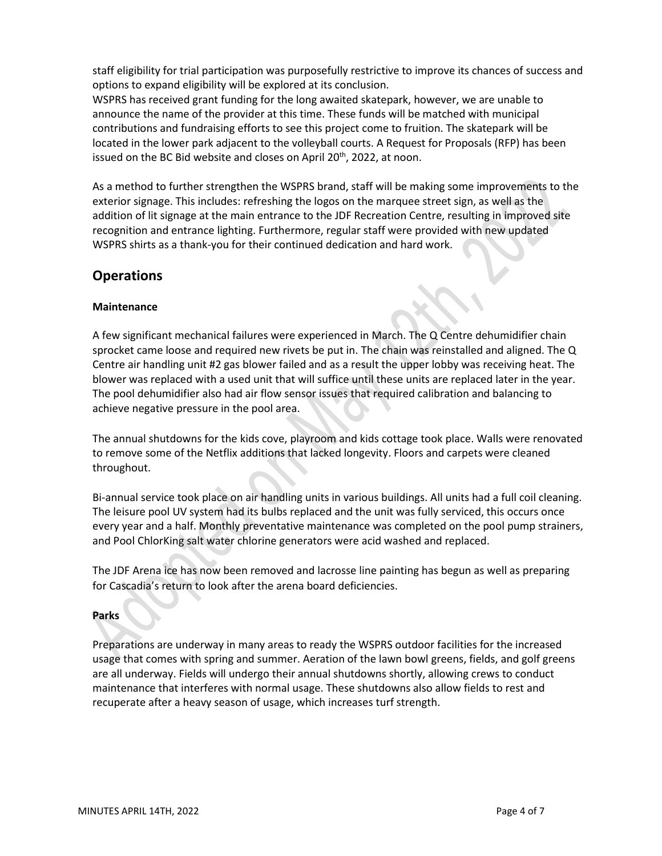staff eligibility for trial participation was purposefully restrictive to improve its chances of success and options to expand eligibility will be explored at its conclusion.

WSPRS has received grant funding for the long awaited skatepark, however, we are unable to announce the name of the provider at this time. These funds will be matched with municipal contributions and fundraising efforts to see this project come to fruition. The skatepark will be located in the lower park adjacent to the volleyball courts. A Request for Proposals (RFP) has been issued on the BC Bid website and closes on April  $20<sup>th</sup>$ , 2022, at noon.

As a method to further strengthen the WSPRS brand, staff will be making some improvements to the exterior signage. This includes: refreshing the logos on the marquee street sign, as well as the addition of lit signage at the main entrance to the JDF Recreation Centre, resulting in improved site recognition and entrance lighting. Furthermore, regular staff were provided with new updated WSPRS shirts as a thank-you for their continued dedication and hard work.

## **Operations**

## **Maintenance**

A few significant mechanical failures were experienced in March. The Q Centre dehumidifier chain sprocket came loose and required new rivets be put in. The chain was reinstalled and aligned. The Q Centre air handling unit #2 gas blower failed and as a result the upper lobby was receiving heat. The blower was replaced with a used unit that will suffice until these units are replaced later in the year. The pool dehumidifier also had air flow sensor issues that required calibration and balancing to achieve negative pressure in the pool area.

The annual shutdowns for the kids cove, playroom and kids cottage took place. Walls were renovated to remove some of the Netflix additions that lacked longevity. Floors and carpets were cleaned throughout.

Bi-annual service took place on air handling units in various buildings. All units had a full coil cleaning. The leisure pool UV system had its bulbs replaced and the unit was fully serviced, this occurs once every year and a half. Monthly preventative maintenance was completed on the pool pump strainers, and Pool ChlorKing salt water chlorine generators were acid washed and replaced.

The JDF Arena ice has now been removed and lacrosse line painting has begun as well as preparing for Cascadia's return to look after the arena board deficiencies.

## **Parks**

Preparations are underway in many areas to ready the WSPRS outdoor facilities for the increased usage that comes with spring and summer. Aeration of the lawn bowl greens, fields, and golf greens are all underway. Fields will undergo their annual shutdowns shortly, allowing crews to conduct maintenance that interferes with normal usage. These shutdowns also allow fields to rest and recuperate after a heavy season of usage, which increases turf strength.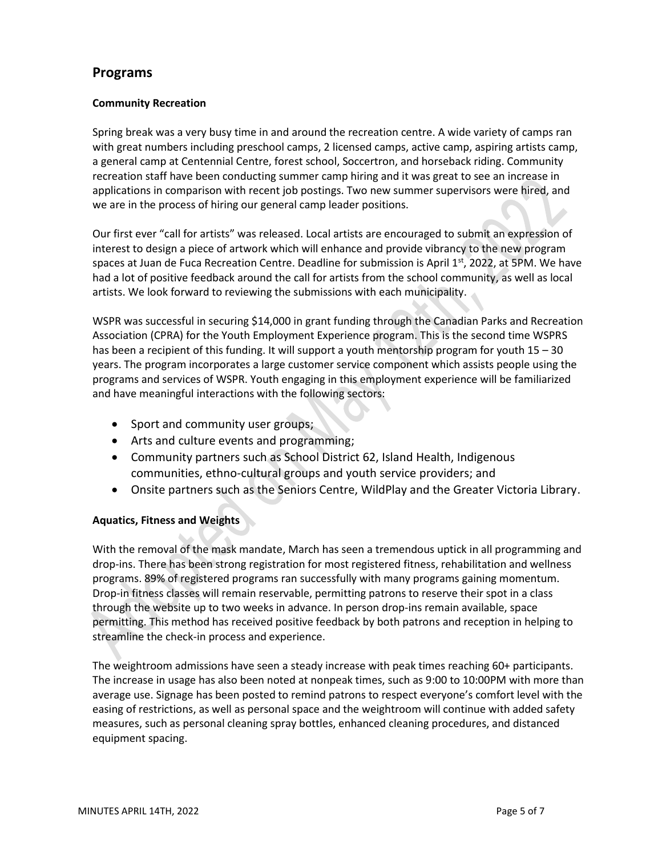## **Programs**

## **Community Recreation**

Spring break was a very busy time in and around the recreation centre. A wide variety of camps ran with great numbers including preschool camps, 2 licensed camps, active camp, aspiring artists camp, a general camp at Centennial Centre, forest school, Soccertron, and horseback riding. Community recreation staff have been conducting summer camp hiring and it was great to see an increase in applications in comparison with recent job postings. Two new summer supervisors were hired, and we are in the process of hiring our general camp leader positions.

Our first ever "call for artists" was released. Local artists are encouraged to submit an expression of interest to design a piece of artwork which will enhance and provide vibrancy to the new program spaces at Juan de Fuca Recreation Centre. Deadline for submission is April 1<sup>st</sup>, 2022, at 5PM. We have had a lot of positive feedback around the call for artists from the school community, as well as local artists. We look forward to reviewing the submissions with each municipality.

WSPR was successful in securing \$14,000 in grant funding through the Canadian Parks and Recreation Association (CPRA) for the Youth Employment Experience program. This is the second time WSPRS has been a recipient of this funding. It will support a youth mentorship program for youth 15 – 30 years. The program incorporates a large customer service component which assists people using the programs and services of WSPR. Youth engaging in this employment experience will be familiarized and have meaningful interactions with the following sectors:

- Sport and community user groups;
- Arts and culture events and programming;
- Community partners such as School District 62, Island Health, Indigenous communities, ethno-cultural groups and youth service providers; and
- Onsite partners such as the Seniors Centre, WildPlay and the Greater Victoria Library.

## **Aquatics, Fitness and Weights**

With the removal of the mask mandate, March has seen a tremendous uptick in all programming and drop-ins. There has been strong registration for most registered fitness, rehabilitation and wellness programs. 89% of registered programs ran successfully with many programs gaining momentum. Drop-in fitness classes will remain reservable, permitting patrons to reserve their spot in a class through the website up to two weeks in advance. In person drop-ins remain available, space permitting. This method has received positive feedback by both patrons and reception in helping to streamline the check-in process and experience.

The weightroom admissions have seen a steady increase with peak times reaching 60+ participants. The increase in usage has also been noted at nonpeak times, such as 9:00 to 10:00PM with more than average use. Signage has been posted to remind patrons to respect everyone's comfort level with the easing of restrictions, as well as personal space and the weightroom will continue with added safety measures, such as personal cleaning spray bottles, enhanced cleaning procedures, and distanced equipment spacing.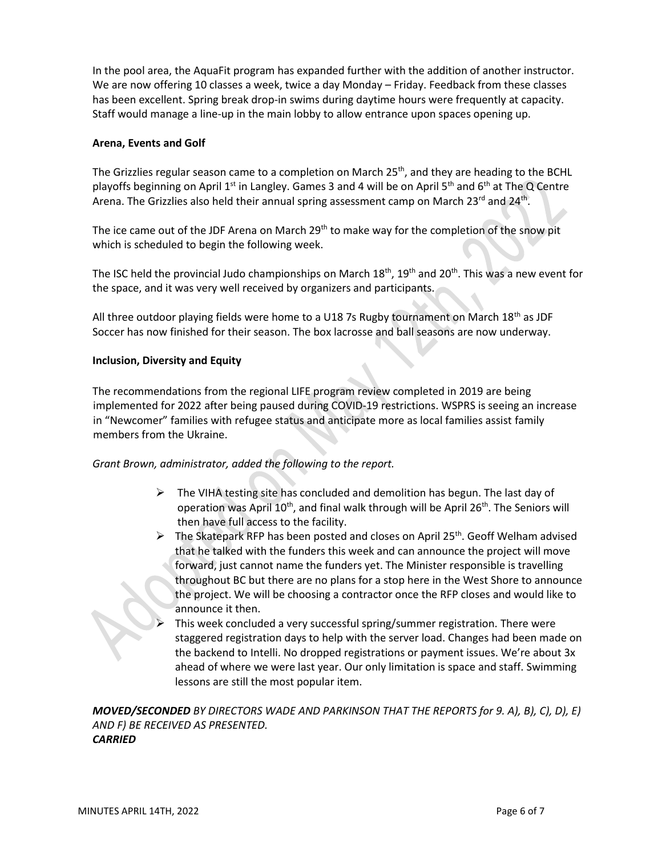In the pool area, the AquaFit program has expanded further with the addition of another instructor. We are now offering 10 classes a week, twice a day Monday – Friday. Feedback from these classes has been excellent. Spring break drop-in swims during daytime hours were frequently at capacity. Staff would manage a line-up in the main lobby to allow entrance upon spaces opening up.

#### **Arena, Events and Golf**

The Grizzlies regular season came to a completion on March 25<sup>th</sup>, and they are heading to the BCHL playoffs beginning on April 1<sup>st</sup> in Langley. Games 3 and 4 will be on April 5<sup>th</sup> and 6<sup>th</sup> at The Q Centre Arena. The Grizzlies also held their annual spring assessment camp on March 23<sup>rd</sup> and 24<sup>th</sup>.

The ice came out of the JDF Arena on March 29<sup>th</sup> to make way for the completion of the snow pit which is scheduled to begin the following week.

The ISC held the provincial Judo championships on March 18<sup>th</sup>, 19<sup>th</sup> and 20<sup>th</sup>. This was a new event for the space, and it was very well received by organizers and participants.

All three outdoor playing fields were home to a U18 7s Rugby tournament on March 18<sup>th</sup> as JDF Soccer has now finished for their season. The box lacrosse and ball seasons are now underway.

#### **Inclusion, Diversity and Equity**

The recommendations from the regional LIFE program review completed in 2019 are being implemented for 2022 after being paused during COVID-19 restrictions. WSPRS is seeing an increase in "Newcomer" families with refugee status and anticipate more as local families assist family members from the Ukraine.

*Grant Brown, administrator, added the following to the report.*

- $\triangleright$  The VIHA testing site has concluded and demolition has begun. The last day of operation was April 10<sup>th</sup>, and final walk through will be April 26<sup>th</sup>. The Seniors will then have full access to the facility.
- $\triangleright$  The Skatepark RFP has been posted and closes on April 25<sup>th</sup>. Geoff Welham advised that he talked with the funders this week and can announce the project will move forward, just cannot name the funders yet. The Minister responsible is travelling throughout BC but there are no plans for a stop here in the West Shore to announce the project. We will be choosing a contractor once the RFP closes and would like to announce it then.
- This week concluded a very successful spring/summer registration. There were staggered registration days to help with the server load. Changes had been made on the backend to Intelli. No dropped registrations or payment issues. We're about 3x ahead of where we were last year. Our only limitation is space and staff. Swimming lessons are still the most popular item.

*MOVED/SECONDED BY DIRECTORS WADE AND PARKINSON THAT THE REPORTS for 9. A), B), C), D), E) AND F) BE RECEIVED AS PRESENTED. CARRIED*